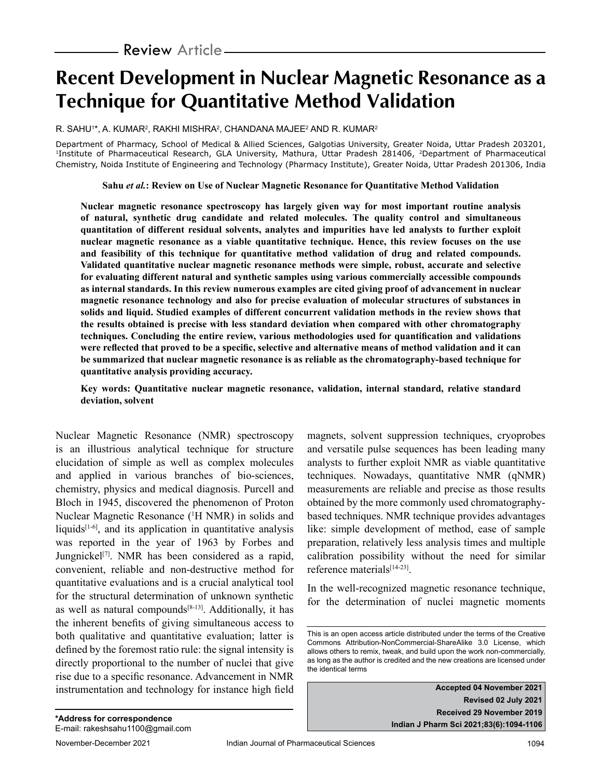# **Recent Development in Nuclear Magnetic Resonance as a Technique for Quantitative Method Validation**

R. SAHU'\*, A. KUMAR<sup>2</sup>, RAKHI MISHRA<sup>2</sup>, CHANDANA MAJEE<sup>2</sup> AND R. KUMAR<sup>2</sup>

Department of Pharmacy, School of Medical & Allied Sciences, Galgotias University, Greater Noida, Uttar Pradesh 203201, <sup>1</sup>Institute of Pharmaceutical Research, GLA University, Mathura, Uttar Pradesh 281406, <sup>2</sup>Department of Pharmaceutical Chemistry, Noida Institute of Engineering and Technology (Pharmacy Institute), Greater Noida, Uttar Pradesh 201306, India

#### **Sahu** *et al.***: Review on Use of Nuclear Magnetic Resonance for Quantitative Method Validation**

**Nuclear magnetic resonance spectroscopy has largely given way for most important routine analysis of natural, synthetic drug candidate and related molecules. The quality control and simultaneous quantitation of different residual solvents, analytes and impurities have led analysts to further exploit nuclear magnetic resonance as a viable quantitative technique. Hence, this review focuses on the use and feasibility of this technique for quantitative method validation of drug and related compounds. Validated quantitative nuclear magnetic resonance methods were simple, robust, accurate and selective for evaluating different natural and synthetic samples using various commercially accessible compounds as internal standards. In this review numerous examples are cited giving proof of advancement in nuclear magnetic resonance technology and also for precise evaluation of molecular structures of substances in solids and liquid. Studied examples of different concurrent validation methods in the review shows that the results obtained is precise with less standard deviation when compared with other chromatography techniques. Concluding the entire review, various methodologies used for quantification and validations were reflected that proved to be a specific, selective and alternative means of method validation and it can be summarized that nuclear magnetic resonance is as reliable as the chromatography-based technique for quantitative analysis providing accuracy.**

**Key words: Quantitative nuclear magnetic resonance, validation, internal standard, relative standard deviation, solvent**

Nuclear Magnetic Resonance (NMR) spectroscopy is an illustrious analytical technique for structure elucidation of simple as well as complex molecules and applied in various branches of bio-sciences, chemistry, physics and medical diagnosis. Purcell and Bloch in 1945, discovered the phenomenon of Proton Nuclear Magnetic Resonance (1 H NMR) in solids and liquids $[1-6]$ , and its application in quantitative analysis was reported in the year of 1963 by Forbes and Jungnickel<sup>[7]</sup>. NMR has been considered as a rapid, convenient, reliable and non-destructive method for quantitative evaluations and is a crucial analytical tool for the structural determination of unknown synthetic as well as natural compounds $[8-13]$ . Additionally, it has the inherent benefits of giving simultaneous access to both qualitative and quantitative evaluation; latter is defined by the foremost ratio rule: the signal intensity is directly proportional to the number of nuclei that give rise due to a specific resonance. Advancement in NMR instrumentation and technology for instance high field

magnets, solvent suppression techniques, cryoprobes and versatile pulse sequences has been leading many analysts to further exploit NMR as viable quantitative techniques. Nowadays, quantitative NMR (qNMR) measurements are reliable and precise as those results obtained by the more commonly used chromatographybased techniques. NMR technique provides advantages like: simple development of method, ease of sample preparation, relatively less analysis times and multiple calibration possibility without the need for similar reference materials<sup>[14-23]</sup>.

In the well-recognized magnetic resonance technique, for the determination of nuclei magnetic moments

**Accepted 04 November 2021 Revised 02 July 2021 Received 29 November 2019 Indian J Pharm Sci 2021;83(6):1094-1106**

This is an open access article distributed under the terms of the Creative Commons Attribution-NonCommercial-ShareAlike 3.0 License, which allows others to remix, tweak, and build upon the work non-commercially, as long as the author is credited and the new creations are licensed under the identical terms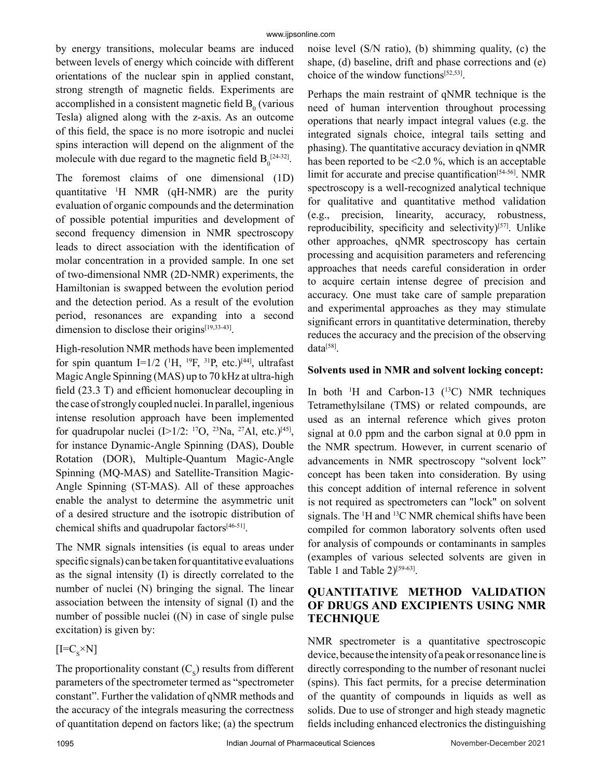by energy transitions, molecular beams are induced between levels of energy which coincide with different orientations of the nuclear spin in applied constant, strong strength of magnetic fields. Experiments are accomplished in a consistent magnetic field  $B_0$  (various Tesla) aligned along with the z-axis. As an outcome of this field, the space is no more isotropic and nuclei spins interaction will depend on the alignment of the molecule with due regard to the magnetic field  $B_0^{\left[24\text{-}32\right]}$ .

The foremost claims of one dimensional (1D) quantitative 1 H NMR (qH-NMR) are the purity evaluation of organic compounds and the determination of possible potential impurities and development of second frequency dimension in NMR spectroscopy leads to direct association with the identification of molar concentration in a provided sample. In one set of two-dimensional NMR (2D-NMR) experiments, the Hamiltonian is swapped between the evolution period and the detection period. As a result of the evolution period, resonances are expanding into a second dimension to disclose their origins<sup>[19,33-43]</sup>.

High-resolution NMR methods have been implemented for spin quantum I=1/2 ( $^1$ H,  $^{19}$ F,  $^{31}$ P, etc.)<sup>[44]</sup>, ultrafast Magic Angle Spinning (MAS) up to 70 kHz at ultra-high field (23.3 T) and efficient homonuclear decoupling in the case of strongly coupled nuclei. In parallel, ingenious intense resolution approach have been implemented for quadrupolar nuclei  $(I>1/2: {}^{17}O, {}^{23}Na, {}^{27}Al, etc. |^{[45]},$ for instance Dynamic-Angle Spinning (DAS), Double Rotation (DOR), Multiple-Quantum Magic-Angle Spinning (MQ-MAS) and Satellite-Transition Magic-Angle Spinning (ST-MAS). All of these approaches enable the analyst to determine the asymmetric unit of a desired structure and the isotropic distribution of chemical shifts and quadrupolar factors[46-51].

The NMR signals intensities (is equal to areas under specific signals) can be taken for quantitative evaluations as the signal intensity (I) is directly correlated to the number of nuclei (N) bringing the signal. The linear association between the intensity of signal (I) and the number of possible nuclei ((N) in case of single pulse excitation) is given by:

 $[I=C_{S}^{\times}N]$ 

The proportionality constant  $(C_s)$  results from different parameters of the spectrometer termed as "spectrometer constant". Further the validation of qNMR methods and the accuracy of the integrals measuring the correctness of quantitation depend on factors like; (a) the spectrum

noise level (S/N ratio), (b) shimming quality, (c) the shape, (d) baseline, drift and phase corrections and (e) choice of the window functions[52,53].

Perhaps the main restraint of qNMR technique is the need of human intervention throughout processing operations that nearly impact integral values (e.g. the integrated signals choice, integral tails setting and phasing). The quantitative accuracy deviation in qNMR has been reported to be <2.0 %, which is an acceptable limit for accurate and precise quantification<sup>[54-56]</sup>. NMR spectroscopy is a well-recognized analytical technique for qualitative and quantitative method validation (e.g., precision, linearity, accuracy, robustness, reproducibility, specificity and selectivity)<sup>[57]</sup>. Unlike other approaches, qNMR spectroscopy has certain processing and acquisition parameters and referencing approaches that needs careful consideration in order to acquire certain intense degree of precision and accuracy. One must take care of sample preparation and experimental approaches as they may stimulate significant errors in quantitative determination, thereby reduces the accuracy and the precision of the observing data[58].

#### **Solvents used in NMR and solvent locking concept:**

In both  $^1$ H and Carbon-13 ( $^{13}$ C) NMR techniques Tetramethylsilane (TMS) or related compounds, are used as an internal reference which gives proton signal at 0.0 ppm and the carbon signal at 0.0 ppm in the NMR spectrum. However, in current scenario of advancements in NMR spectroscopy "solvent lock" concept has been taken into consideration. By using this concept addition of internal reference in solvent is not required as spectrometers can "lock" on solvent signals. The  $H$  and  $H$ <sup>3</sup>C NMR chemical shifts have been compiled for common laboratory solvents often used for analysis of compounds or contaminants in samples (examples of various selected solvents are given in Table 1 and Table 2)<sup>[59-63]</sup>.

## **QUANTITATIVE METHOD VALIDATION OF DRUGS AND EXCIPIENTS USING NMR TECHNIQUE**

NMR spectrometer is a quantitative spectroscopic device, because the intensity of a peak or resonance line is directly corresponding to the number of resonant nuclei (spins). This fact permits, for a precise determination of the quantity of compounds in liquids as well as solids. Due to use of stronger and high steady magnetic fields including enhanced electronics the distinguishing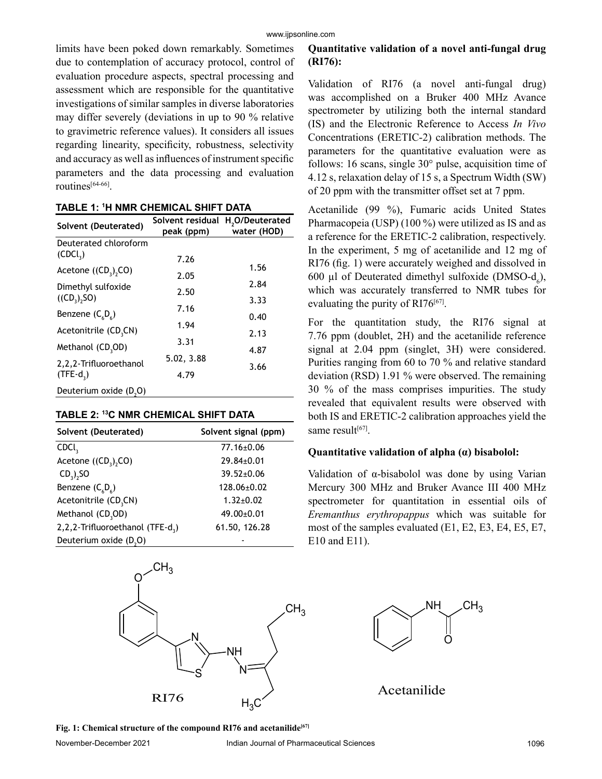limits have been poked down remarkably. Sometimes due to contemplation of accuracy protocol, control of evaluation procedure aspects, spectral processing and assessment which are responsible for the quantitative investigations of similar samples in diverse laboratories may differ severely (deviations in up to 90 % relative to gravimetric reference values). It considers all issues regarding linearity, specificity, robustness, selectivity and accuracy as well as influences of instrument specific parameters and the data processing and evaluation routines[64-66].

|  |  |  | TABLE 1: 1H NMR CHEMICAL SHIFT DATA |
|--|--|--|-------------------------------------|
|--|--|--|-------------------------------------|

| Solvent (Deuterated)                 | Solvent residual<br>peak (ppm) | H <sub>2</sub> O/Deuterated<br>water (HOD) |
|--------------------------------------|--------------------------------|--------------------------------------------|
| Deuterated chloroform                |                                |                                            |
| (CDCl <sub>3</sub> )                 | 7.26                           |                                            |
| Acetone $((CD_2),CO)$                | 2.05                           | 1.56                                       |
| Dimethyl sulfoxide                   | 2.50                           | 2.84                                       |
| $((CD_2), SO)$                       |                                | 3.33                                       |
| Benzene $(C_{6}D_{6})$               | 7.16                           | 0.40                                       |
| Acetonitrile (CD <sub>3</sub> CN)    | 1.94                           | 2.13                                       |
| Methanol (CD <sub>3</sub> OD)        | 3.31                           |                                            |
|                                      | 5.02, 3.88                     | 4.87                                       |
| 2,2,2-Trifluoroethanol<br>$(TFE-d2)$ | 4.79                           | 3.66                                       |
| Deuterium oxide (D,O)                |                                |                                            |

| TABLE 2: 13C NMR CHEMICAL SHIFT DATA |  |  |  |
|--------------------------------------|--|--|--|
|--------------------------------------|--|--|--|

| Solvent (Deuterated)                         | Solvent signal (ppm) |
|----------------------------------------------|----------------------|
| CDCI <sub>2</sub>                            | 77.16±0.06           |
| Acetone $((CD_3), CO)$                       | 29.84±0.01           |
| $CD3$ , SO                                   | $39.52 \pm 0.06$     |
| Benzene $(C_{6}D_{6})$                       | 128.06±0.02          |
| Acetonitrile (CD <sub>3</sub> CN)            | $1.32 \pm 0.02$      |
| Methanol (CD <sub>3</sub> OD)                | $49.00 \pm 0.01$     |
| 2,2,2-Trifluoroethanol (TFE-d <sub>3</sub> ) | 61.50, 126.28        |
| Deuterium oxide (D <sub>2</sub> O)           |                      |



# **Quantitative validation of a novel anti-fungal drug (RI76):**

Validation of RI76 (a novel anti-fungal drug) was accomplished on a Bruker 400 MHz Avance spectrometer by utilizing both the internal standard (IS) and the Electronic Reference to Access *In Vivo* Concentrations (ERETIC-2) calibration methods. The parameters for the quantitative evaluation were as follows: 16 scans, single 30° pulse, acquisition time of 4.12 s, relaxation delay of 15 s, a Spectrum Width (SW) of 20 ppm with the transmitter offset set at 7 ppm.

Acetanilide (99 %), Fumaric acids United States Pharmacopeia (USP) (100 %) were utilized as IS and as a reference for the ERETIC-2 calibration, respectively. In the experiment, 5 mg of acetanilide and 12 mg of RI76 (fig. 1) were accurately weighed and dissolved in 600 µl of Deuterated dimethyl sulfoxide (DMSO- $d_6$ ), which was accurately transferred to NMR tubes for evaluating the purity of RI76<sup>[67]</sup>.

For the quantitation study, the RI76 signal at 7.76 ppm (doublet, 2H) and the acetanilide reference signal at 2.04 ppm (singlet, 3H) were considered. Purities ranging from 60 to 70 % and relative standard deviation (RSD) 1.91 % were observed. The remaining 30 % of the mass comprises impurities. The study revealed that equivalent results were observed with both IS and ERETIC-2 calibration approaches yield the same result[67].

#### **Quantitative validation of alpha (α) bisabolol:**

Validation of  $\alpha$ -bisabolol was done by using Varian Mercury 300 MHz and Bruker Avance III 400 MHz spectrometer for quantitation in essential oils of *Eremanthus erythropappus* which was suitable for most of the samples evaluated (E1, E2, E3, E4, E5, E7, E10 and E11).

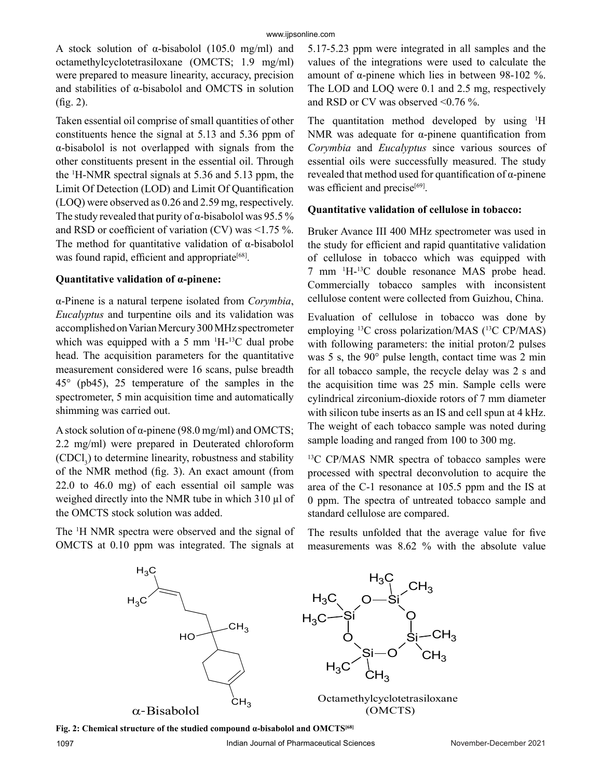A stock solution of  $\alpha$ -bisabolol (105.0 mg/ml) and octamethylcyclotetrasiloxane (OMCTS; 1.9 mg/ml) were prepared to measure linearity, accuracy, precision and stabilities of α-bisabolol and OMCTS in solution (fig. 2).

Taken essential oil comprise of small quantities of other constituents hence the signal at 5.13 and 5.36 ppm of α-bisabolol is not overlapped with signals from the other constituents present in the essential oil. Through the 1 H-NMR spectral signals at 5.36 and 5.13 ppm, the Limit Of Detection (LOD) and Limit Of Quantification (LOQ) were observed as 0.26 and 2.59 mg, respectively. The study revealed that purity of  $\alpha$ -bisabolol was 95.5% and RSD or coefficient of variation (CV) was <1.75 %. The method for quantitative validation of α-bisabolol was found rapid, efficient and appropriate<sup>[68]</sup>.

#### **Quantitative validation of α-pinene:**

α-Pinene is a natural terpene isolated from *Corymbia*, *Eucalyptus* and turpentine oils and its validation was accomplished on Varian Mercury 300 MHz spectrometer which was equipped with a 5 mm  $^1H^{-13}C$  dual probe head. The acquisition parameters for the quantitative measurement considered were 16 scans, pulse breadth 45° (pb45), 25 temperature of the samples in the spectrometer, 5 min acquisition time and automatically shimming was carried out.

A stock solution of  $\alpha$ -pinene (98.0 mg/ml) and OMCTS; 2.2 mg/ml) were prepared in Deuterated chloroform  $(CDCI_3)$  to determine linearity, robustness and stability of the NMR method (fig. 3). An exact amount (from 22.0 to 46.0 mg) of each essential oil sample was weighed directly into the NMR tube in which 310 µl of the OMCTS stock solution was added.

The <sup>1</sup>H NMR spectra were observed and the signal of OMCTS at 0.10 ppm was integrated. The signals at

5.17-5.23 ppm were integrated in all samples and the values of the integrations were used to calculate the amount of α-pinene which lies in between 98-102 %. The LOD and LOQ were 0.1 and 2.5 mg, respectively and RSD or CV was observed <0.76 %.

The quantitation method developed by using <sup>1</sup>H NMR was adequate for  $\alpha$ -pinene quantification from *Corymbia* and *Eucalyptus* since various sources of essential oils were successfully measured. The study revealed that method used for quantification of α-pinene was efficient and precise<sup>[69]</sup>.

#### **Quantitative validation of cellulose in tobacco:**

Bruker Avance III 400 MHz spectrometer was used in the study for efficient and rapid quantitative validation of cellulose in tobacco which was equipped with 7 mm 1 H-13C double resonance MAS probe head. Commercially tobacco samples with inconsistent cellulose content were collected from Guizhou, China.

Evaluation of cellulose in tobacco was done by employing 13C cross polarization/MAS (13C CP/MAS) with following parameters: the initial proton/2 pulses was 5 s, the 90° pulse length, contact time was 2 min for all tobacco sample, the recycle delay was 2 s and the acquisition time was 25 min. Sample cells were cylindrical zirconium-dioxide rotors of 7 mm diameter with silicon tube inserts as an IS and cell spun at 4 kHz. The weight of each tobacco sample was noted during sample loading and ranged from 100 to 300 mg.

<sup>13</sup>C CP/MAS NMR spectra of tobacco samples were processed with spectral deconvolution to acquire the area of the C-1 resonance at 105.5 ppm and the IS at 0 ppm. The spectra of untreated tobacco sample and standard cellulose are compared.

The results unfolded that the average value for five measurements was 8.62 % with the absolute value



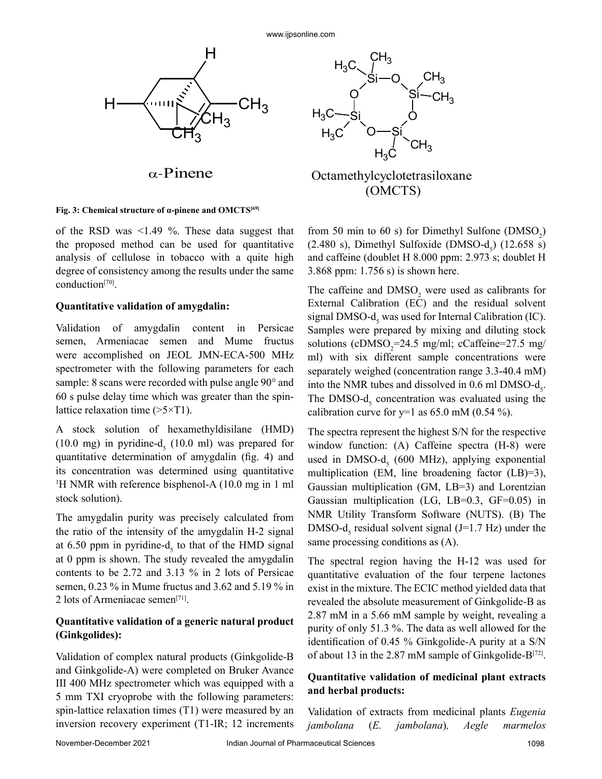

α-Pinene

#### **Fig. 3: Chemical structure of α-pinene and OMCTS[69]**

of the RSD was <1.49 %. These data suggest that the proposed method can be used for quantitative analysis of cellulose in tobacco with a quite high degree of consistency among the results under the same conduction[70].

#### **Quantitative validation of amygdalin:**

Validation of amygdalin content in Persicae semen, Armeniacae semen and Mume fructus were accomplished on JEOL JMN-ECA-500 MHz spectrometer with the following parameters for each sample: 8 scans were recorded with pulse angle 90° and 60 s pulse delay time which was greater than the spinlattice relaxation time  $(>\frac{5}{T}$ .

A stock solution of hexamethyldisilane (HMD)  $(10.0 \text{ mg})$  in pyridine- $d<sub>5</sub>$   $(10.0 \text{ ml})$  was prepared for quantitative determination of amygdalin (fig. 4) and its concentration was determined using quantitative 1 H NMR with reference bisphenol-A (10.0 mg in 1 ml stock solution).

The amygdalin purity was precisely calculated from the ratio of the intensity of the amygdalin H-2 signal at 6.50 ppm in pyridine- $d<sub>s</sub>$  to that of the HMD signal at 0 ppm is shown. The study revealed the amygdalin contents to be 2.72 and 3.13 % in 2 lots of Persicae semen, 0.23 % in Mume fructus and 3.62 and 5.19 % in 2 lots of Armeniacae semen[71].

#### **Quantitative validation of a generic natural product (Ginkgolides):**

Validation of complex natural products (Ginkgolide-B and Ginkgolide-A) were completed on Bruker Avance III 400 MHz spectrometer which was equipped with a 5 mm TXI cryoprobe with the following parameters: spin-lattice relaxation times (T1) were measured by an inversion recovery experiment (T1-IR; 12 increments





from 50 min to 60 s) for Dimethyl Sulfone  $(DMSO<sub>2</sub>)$  $(2.480 \text{ s})$ , Dimethyl Sulfoxide (DMSO-d<sub>5</sub>)  $(12.658 \text{ s})$ and caffeine (doublet H 8.000 ppm: 2.973 s; doublet H 3.868 ppm: 1.756 s) is shown here.

The caffeine and  $DMSO<sub>2</sub>$  were used as calibrants for External Calibration (EC) and the residual solvent signal DMSO- $d<sub>s</sub>$  was used for Internal Calibration (IC). Samples were prepared by mixing and diluting stock solutions ( $cDMSO_2$ =24.5 mg/ml;  $cCaffeine=27.5$  mg/ ml) with six different sample concentrations were separately weighed (concentration range 3.3-40.4 mM) into the NMR tubes and dissolved in  $0.6$  ml DMSO- $d_s$ . The DMSO- $d<sub>5</sub>$  concentration was evaluated using the calibration curve for  $y=1$  as 65.0 mM (0.54 %).

The spectra represent the highest S/N for the respective window function: (A) Caffeine spectra (H-8) were used in DMSO- $d<sub>5</sub>$  (600 MHz), applying exponential multiplication (EM, line broadening factor (LB)=3), Gaussian multiplication (GM, LB=3) and Lorentzian Gaussian multiplication (LG, LB=0.3, GF=0.05) in NMR Utility Transform Software (NUTS). (B) The DMSO- $d<sub>5</sub>$  residual solvent signal (J=1.7 Hz) under the same processing conditions as (A).

The spectral region having the H-12 was used for quantitative evaluation of the four terpene lactones exist in the mixture. The ECIC method yielded data that revealed the absolute measurement of Ginkgolide-B as 2.87 mM in a 5.66 mM sample by weight, revealing a purity of only 51.3 %. The data as well allowed for the identification of 0.45 % Ginkgolide-A purity at a S/N of about 13 in the 2.87 mM sample of Ginkgolide-B $[72]$ .

#### **Quantitative validation of medicinal plant extracts and herbal products:**

Validation of extracts from medicinal plants *Eugenia jambolana* (*E. jambolana*)*, Aegle marmelos*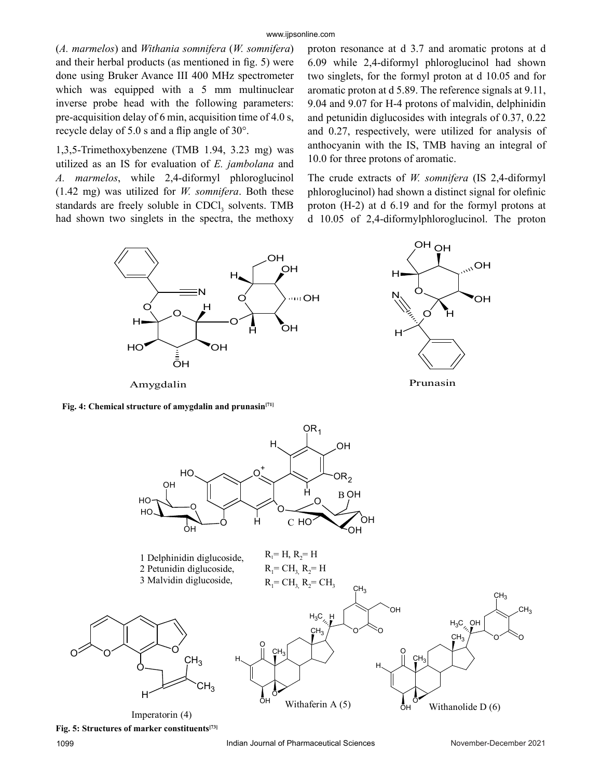(*A. marmelos*) and *Withania somnifera* (*W. somnifera*) and their herbal products (as mentioned in fig. 5) were done using Bruker Avance III 400 MHz spectrometer which was equipped with a 5 mm multinuclear inverse probe head with the following parameters: pre-acquisition delay of 6 min, acquisition time of 4.0 s, recycle delay of 5.0 s and a flip angle of 30°.

1,3,5-Trimethoxybenzene (TMB 1.94, 3.23 mg) was utilized as an IS for evaluation of *E. jambolana* and *A. marmelos*, while 2,4-diformyl phloroglucinol (1.42 mg) was utilized for *W. somnifera*. Both these standards are freely soluble in CDCl<sub>3</sub> solvents. TMB had shown two singlets in the spectra, the methoxy

proton resonance at d 3.7 and aromatic protons at d 6.09 while 2,4-diformyl phloroglucinol had shown two singlets, for the formyl proton at d 10.05 and for aromatic proton at d 5.89. The reference signals at 9.11, 9.04 and 9.07 for H-4 protons of malvidin, delphinidin and petunidin diglucosides with integrals of 0.37, 0.22 and 0.27, respectively, were utilized for analysis of anthocyanin with the IS, TMB having an integral of 10.0 for three protons of aromatic.

The crude extracts of *W. somnifera* (IS 2,4-diformyl phloroglucinol) had shown a distinct signal for olefinic proton (H-2) at d 6.19 and for the formyl protons at d 10.05 of 2,4-diformylphloroglucinol. The proton



Fig. 4: Chemical structure of amygdalin and prunasin<sup>[71]</sup>



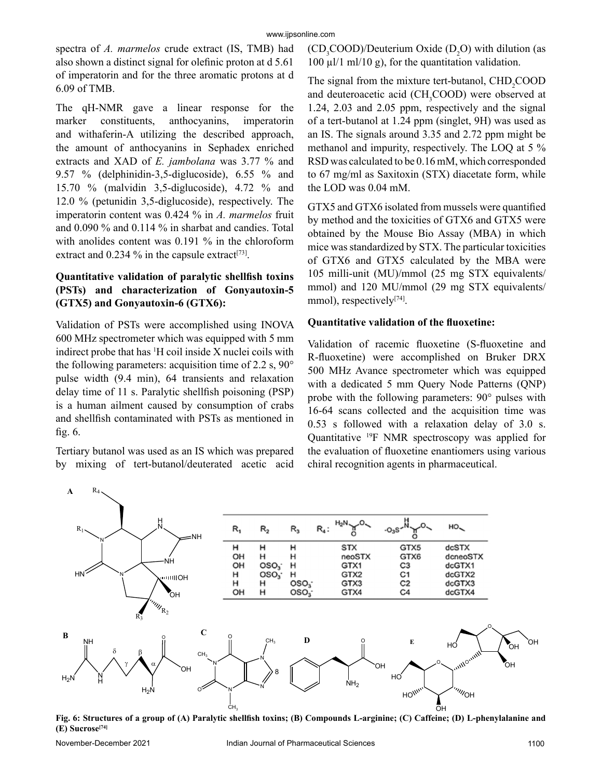spectra of *A. marmelos* crude extract (IS, TMB) had also shown a distinct signal for olefinic proton at d 5.61 of imperatorin and for the three aromatic protons at d 6.09 of TMB.

The qH-NMR gave a linear response for the marker constituents, anthocyanins, imperatorin and withaferin-A utilizing the described approach, the amount of anthocyanins in Sephadex enriched extracts and XAD of *E. jambolana* was 3.77 % and 9.57 % (delphinidin-3,5-diglucoside), 6.55 % and 15.70 % (malvidin 3,5-diglucoside), 4.72 % and 12.0 % (petunidin 3,5-diglucoside), respectively. The imperatorin content was 0.424 % in *A. marmelos* fruit and 0.090 % and 0.114 % in sharbat and candies. Total with anolides content was 0.191 % in the chloroform extract and  $0.234$  % in the capsule extract<sup>[73]</sup>.

#### **Quantitative validation of paralytic shellfish toxins (PSTs) and characterization of Gonyautoxin-5 (GTX5) and Gonyautoxin-6 (GTX6):**

Validation of PSTs were accomplished using INOVA 600 MHz spectrometer which was equipped with 5 mm indirect probe that has 1 H coil inside X nuclei coils with the following parameters: acquisition time of 2.2 s, 90° pulse width (9.4 min), 64 transients and relaxation delay time of 11 s. Paralytic shellfish poisoning (PSP) is a human ailment caused by consumption of crabs and shellfish contaminated with PSTs as mentioned in fig. 6.

Tertiary butanol was used as an IS which was prepared by mixing of tert-butanol/deuterated acetic acid  $(CD_3COOD)/D$ euterium Oxide  $(D_2O)$  with dilution (as  $100 \mu l/l$  ml/ $10 \mu$ ), for the quantitation validation.

The signal from the mixture tert-butanol,  $CHD<sub>2</sub>COOD$ and deuteroacetic acid (CH<sub>3</sub>COOD) were observed at 1.24, 2.03 and 2.05 ppm, respectively and the signal of a tert-butanol at 1.24 ppm (singlet, 9H) was used as an IS. The signals around 3.35 and 2.72 ppm might be methanol and impurity, respectively. The LOQ at 5 % RSD was calculated to be 0.16 mM, which corresponded to 67 mg/ml as Saxitoxin (STX) diacetate form, while the LOD was 0.04 mM.

GTX5 and GTX6 isolated from mussels were quantified by method and the toxicities of GTX6 and GTX5 were obtained by the Mouse Bio Assay (MBA) in which mice was standardized by STX. The particular toxicities of GTX6 and GTX5 calculated by the MBA were 105 milli-unit (MU)/mmol (25 mg STX equivalents/ mmol) and 120 MU/mmol (29 mg STX equivalents/ mmol), respectively<sup>[74]</sup>.

#### **Quantitative validation of the fluoxetine:**

Validation of racemic fluoxetine (S-fluoxetine and R-fluoxetine) were accomplished on Bruker DRX 500 MHz Avance spectrometer which was equipped with a dedicated 5 mm Query Node Patterns (QNP) probe with the following parameters: 90° pulses with 16-64 scans collected and the acquisition time was 0.53 s followed with a relaxation delay of 3.0 s. Quantitative 19F NMR spectroscopy was applied for the evaluation of fluoxetine enantiomers using various chiral recognition agents in pharmaceutical.



**Fig. 6: Structures of a group of (A) Paralytic shellfish toxins; (B) Compounds L-arginine; (C) Caffeine; (D) L-phenylalanine and (E) Sucrose[74]**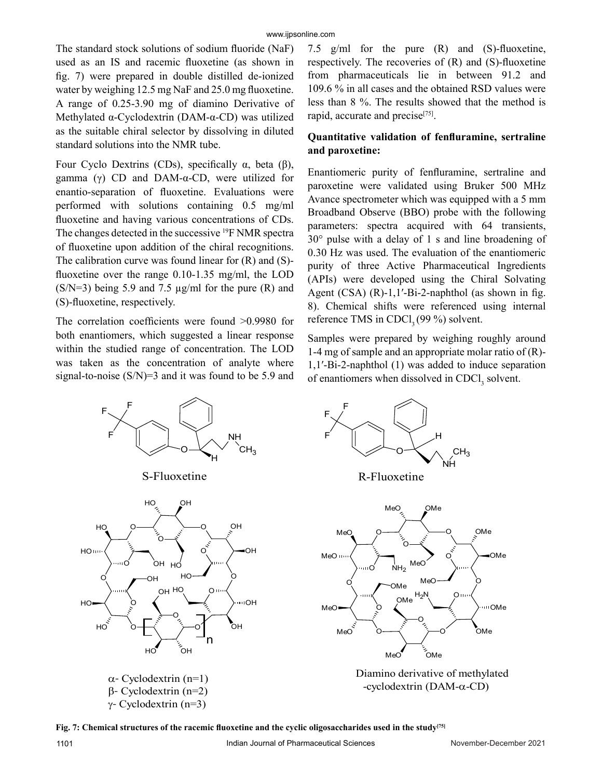The standard stock solutions of sodium fluoride (NaF) used as an IS and racemic fluoxetine (as shown in fig. 7) were prepared in double distilled de-ionized water by weighing 12.5 mg NaF and 25.0 mg fluoxetine. A range of 0.25-3.90 mg of diamino Derivative of Methylated α-Cyclodextrin (DAM-α-CD) was utilized as the suitable chiral selector by dissolving in diluted standard solutions into the NMR tube.

Four Cyclo Dextrins (CDs), specifically  $\alpha$ , beta (β), gamma (γ) CD and DAM- $α$ -CD, were utilized for enantio-separation of fluoxetine. Evaluations were performed with solutions containing 0.5 mg/ml fluoxetine and having various concentrations of CDs. The changes detected in the successive 19F NMR spectra of fluoxetine upon addition of the chiral recognitions. The calibration curve was found linear for  $(R)$  and  $(S)$ fluoxetine over the range 0.10-1.35 mg/ml, the LOD  $(S/N=3)$  being 5.9 and 7.5  $\mu$ g/ml for the pure (R) and (S)-fluoxetine, respectively.

The correlation coefficients were found >0.9980 for both enantiomers, which suggested a linear response within the studied range of concentration. The LOD was taken as the concentration of analyte where signal-to-noise  $(S/N)=3$  and it was found to be 5.9 and 7.5 g/ml for the pure (R) and (S)-fluoxetine, respectively. The recoveries of (R) and (S)-fluoxetine from pharmaceuticals lie in between 91.2 and 109.6 % in all cases and the obtained RSD values were less than 8 %. The results showed that the method is rapid, accurate and precise<sup>[75]</sup>.

### **Quantitative validation of fenfluramine, sertraline and paroxetine:**

Enantiomeric purity of fenfluramine, sertraline and paroxetine were validated using Bruker 500 MHz Avance spectrometer which was equipped with a 5 mm Broadband Observe (BBO) probe with the following parameters: spectra acquired with 64 transients, 30° pulse with a delay of 1 s and line broadening of 0.30 Hz was used. The evaluation of the enantiomeric purity of three Active Pharmaceutical Ingredients (APIs) were developed using the Chiral Solvating Agent (CSA) (R)-1,1′-Bi-2-naphthol (as shown in fig. 8). Chemical shifts were referenced using internal reference TMS in CDCl<sub>3</sub> (99 %) solvent.

Samples were prepared by weighing roughly around 1-4 mg of sample and an appropriate molar ratio of (R)- 1,1′-Bi-2-naphthol (1) was added to induce separation of enantiomers when dissolved in  $CDCI<sub>3</sub>$  solvent.



O O O O O O O O O  $\overline{O}$ .<br>OMe OMe MeC MeO OMe OMe MeO MeO ... OMe OMe  $NH<sub>2</sub>$ MeO MeO  $H_2N$  $CH<sub>3</sub>$ F F F NH O H

O

MeO

MeO

Diamino derivative of methylated -cyclodextrin (DAM-α-CD)

OMe

O

**Fig. 7: Chemical structures of the racemic fluoxetine and the cyclic oligosaccharides used in the study[75]**

OMe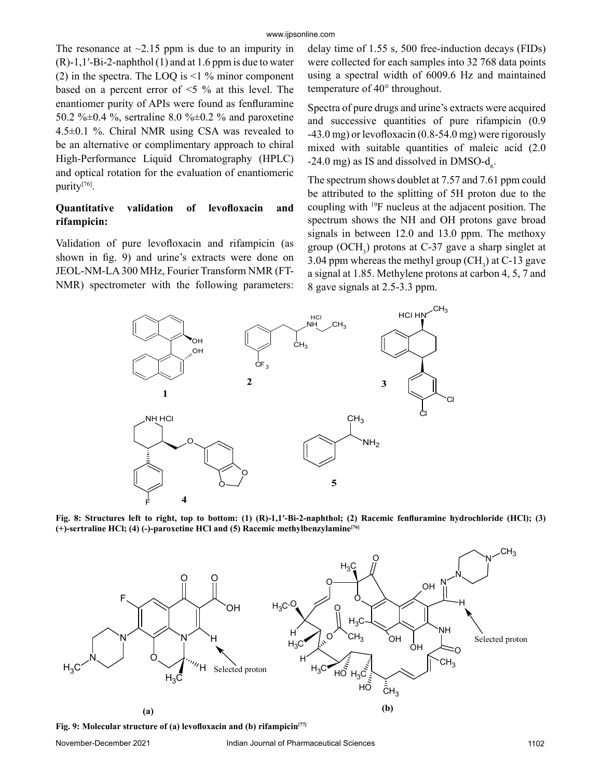The resonance at  $\sim$ 2.15 ppm is due to an impurity in  $(R)-1,1'-Bi-2$ -naphthol  $(1)$  and at 1.6 ppm is due to water (2) in the spectra. The LOQ is  $\leq$  1 % minor component based on a percent error of <5 % at this level. The enantiomer purity of APIs were found as fenfluramine 50.2 % $\pm$ 0.4 %, sertraline 8.0 % $\pm$ 0.2 % and paroxetine 4.5±0.1 %. Chiral NMR using CSA was revealed to be an alternative or complimentary approach to chiral High-Performance Liquid Chromatography (HPLC) and optical rotation for the evaluation of enantiomeric purity[76].

#### **Quantitative validation of levofloxacin and rifampicin:**

Validation of pure levofloxacin and rifampicin (as shown in fig. 9) and urine's extracts were done on JEOL-NM-LA 300 MHz, Fourier Transform NMR (FT-NMR) spectrometer with the following parameters: delay time of 1.55 s, 500 free-induction decays (FIDs) were collected for each samples into 32 768 data points using a spectral width of 6009.6 Hz and maintained temperature of 40° throughout.

Spectra of pure drugs and urine's extracts were acquired and successive quantities of pure rifampicin (0.9 -43.0 mg) or levofloxacin (0.8-54.0 mg) were rigorously mixed with suitable quantities of maleic acid (2.0 -24.0 mg) as IS and dissolved in DMSO- $d_6$ .

The spectrum shows doublet at 7.57 and 7.61 ppm could be attributed to the splitting of 5H proton due to the coupling with 19F nucleus at the adjacent position. The spectrum shows the NH and OH protons gave broad signals in between 12.0 and 13.0 ppm. The methoxy group  $(OCH<sub>3</sub>)$  protons at C-37 gave a sharp singlet at 3.04 ppm whereas the methyl group  $(CH_3)$  at C-13 gave a signal at 1.85. Methylene protons at carbon 4, 5, 7 and 8 gave signals at 2.5-3.3 ppm.



**Fig. 8: Structures left to right, top to bottom: (1) (R)-1,1′-Bi-2-naphthol; (2) Racemic fenfluramine hydrochloride (HCl); (3) (+)-sertraline HCl; (4) (-)-paroxetine HCl and (5) Racemic methylbenzylamine[76]**



**Fig. 9: Molecular structure of (a) levofloxacin and (b) rifampicin[77]**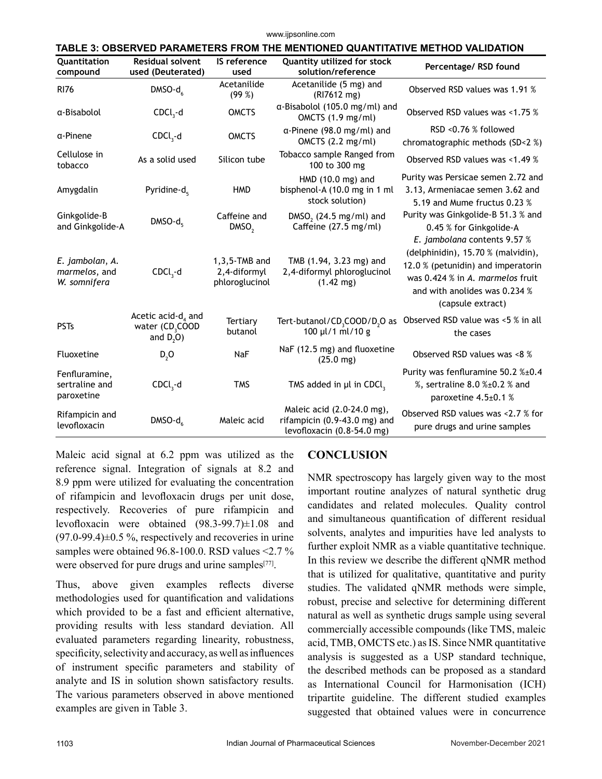www.ijpsonline.com

| TABLE 3: OBSERVED PARAMETERS FROM THE MENTIONED QUANTITATIVE METHOD VALIDATION |                                                                      |                                                    |                                                                                            |                                                                                                                                                                    |
|--------------------------------------------------------------------------------|----------------------------------------------------------------------|----------------------------------------------------|--------------------------------------------------------------------------------------------|--------------------------------------------------------------------------------------------------------------------------------------------------------------------|
| Quantitation<br>compound                                                       | <b>Residual solvent</b><br>used (Deuterated)                         | IS reference<br>used                               | <b>Quantity utilized for stock</b><br>solution/reference                                   | Percentage/ RSD found                                                                                                                                              |
| <b>RI76</b>                                                                    | $DMSO-d6$                                                            | Acetanilide<br>(99%)                               | Acetanilide (5 mg) and<br>(RI7612 mg)                                                      | Observed RSD values was 1.91 %                                                                                                                                     |
| α-Bisabolol                                                                    | $CDCl3-d$                                                            | <b>OMCTS</b>                                       | a-Bisabolol (105.0 mg/ml) and<br>OMCTS $(1.9 \text{ mg/ml})$                               | Observed RSD values was <1.75 %                                                                                                                                    |
| α-Pinene                                                                       | $CDCl3-d$                                                            | <b>OMCTS</b>                                       | $\alpha$ -Pinene (98.0 mg/ml) and<br>OMCTS $(2.2 \text{ mg/ml})$                           | RSD <0.76 % followed<br>chromatographic methods (SD<2 %)                                                                                                           |
| Cellulose in<br>tobacco                                                        | As a solid used                                                      | Silicon tube                                       | Tobacco sample Ranged from<br>100 to 300 mg                                                | Observed RSD values was <1.49 %                                                                                                                                    |
| Amygdalin                                                                      | Pyridine- $d_{5}$                                                    | <b>HMD</b>                                         | HMD $(10.0 \text{ mg})$ and<br>bisphenol-A (10.0 mg in 1 ml<br>stock solution)             | Purity was Persicae semen 2.72 and<br>3.13, Armeniacae semen 3.62 and<br>5.19 and Mume fructus 0.23 %                                                              |
| Ginkgolide-B<br>and Ginkgolide-A                                               | $DMSO-d5$                                                            | Caffeine and<br>DMSO <sub>2</sub>                  | DMSO <sub>2</sub> (24.5 mg/ml) and<br>Caffeine (27.5 mg/ml)                                | Purity was Ginkgolide-B 51.3 % and<br>0.45 % for Ginkgolide-A<br>E. jambolana contents 9.57 %                                                                      |
| E. jambolan, A.<br>marmelos, and<br>W. somnifera                               | $CDCl3-d$                                                            | $1,3,5$ -TMB and<br>2,4-diformyl<br>phloroglucinol | TMB (1.94, 3.23 mg) and<br>2,4-diformyl phloroglucinol<br>$(1.42 \text{ mg})$              | (delphinidin), 15.70 % (malvidin),<br>12.0 % (petunidin) and imperatorin<br>was 0.424 % in A. marmelos fruit<br>and with anolides was 0.234 %<br>(capsule extract) |
| <b>PSTs</b>                                                                    | Acetic acid- $d_4$ and<br>water (CD <sub>3</sub> COOD<br>and $D2O$ ) | Tertiary<br>butanol                                | Tert-butanol/CD <sub>3</sub> COOD/D <sub>2</sub> O as<br>100 µl/1 ml/10 g                  | Observed RSD value was <5 % in all<br>the cases                                                                                                                    |
| Fluoxetine                                                                     | D, O                                                                 | NaF                                                | NaF (12.5 mg) and fluoxetine<br>$(25.0 \text{ mg})$                                        | Observed RSD values was <8 %                                                                                                                                       |
| Fenfluramine,<br>sertraline and<br>paroxetine                                  | $CDCl3-d$                                                            | <b>TMS</b>                                         | TMS added in µl in CDCl,                                                                   | Purity was fenfluramine 50.2 %±0.4<br>%, sertraline 8.0 %±0.2 % and<br>paroxetine 4.5±0.1 %                                                                        |
| Rifampicin and<br>levofloxacin                                                 | $DMSO-d6$                                                            | Maleic acid                                        | Maleic acid (2.0-24.0 mg),<br>rifampicin (0.9-43.0 mg) and<br>levofloxacin $(0.8-54.0$ mg) | Observed RSD values was <2.7 % for<br>pure drugs and urine samples                                                                                                 |

Maleic acid signal at 6.2 ppm was utilized as the reference signal. Integration of signals at 8.2 and 8.9 ppm were utilized for evaluating the concentration of rifampicin and levofloxacin drugs per unit dose, respectively. Recoveries of pure rifampicin and levofloxacin were obtained (98.3-99.7)±1.08 and  $(97.0-99.4) \pm 0.5$  %, respectively and recoveries in urine samples were obtained 96.8-100.0. RSD values <2.7 % were observed for pure drugs and urine samples<sup>[77]</sup>.

Thus, above given examples reflects diverse methodologies used for quantification and validations which provided to be a fast and efficient alternative, providing results with less standard deviation. All evaluated parameters regarding linearity, robustness, specificity, selectivity and accuracy, as well as influences of instrument specific parameters and stability of analyte and IS in solution shown satisfactory results. The various parameters observed in above mentioned examples are given in Table 3.

# **CONCLUSION**

NMR spectroscopy has largely given way to the most important routine analyzes of natural synthetic drug candidates and related molecules. Quality control and simultaneous quantification of different residual solvents, analytes and impurities have led analysts to further exploit NMR as a viable quantitative technique. In this review we describe the different qNMR method that is utilized for qualitative, quantitative and purity studies. The validated qNMR methods were simple, robust, precise and selective for determining different natural as well as synthetic drugs sample using several commercially accessible compounds (like TMS, maleic acid, TMB, OMCTS etc.) as IS. Since NMR quantitative analysis is suggested as a USP standard technique, the described methods can be proposed as a standard as International Council for Harmonisation (ICH) tripartite guideline. The different studied examples suggested that obtained values were in concurrence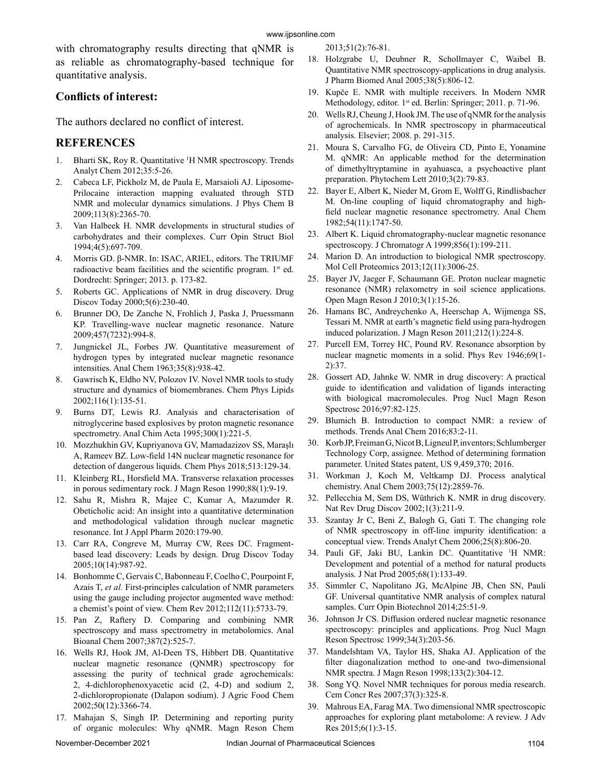with chromatography results directing that qNMR is as reliable as chromatography-based technique for quantitative analysis.

#### **Conflicts of interest:**

The authors declared no conflict of interest.

#### **REFERENCES**

- 1. Bharti SK, Roy R. Quantitative <sup>1</sup>H NMR spectroscopy. Trends Analyt Chem 2012;35:5-26.
- 2. Cabeca LF, Pickholz M, de Paula E, Marsaioli AJ. Liposome-Prilocaine interaction mapping evaluated through STD NMR and molecular dynamics simulations. J Phys Chem B 2009;113(8):2365-70.
- 3. Van Halbeek H. NMR developments in structural studies of carbohydrates and their complexes. Curr Opin Struct Biol 1994;4(5):697-709.
- 4. Morris GD. β-NMR. In: ISAC, ARIEL, editors. The TRIUMF radioactive beam facilities and the scientific program. 1<sup>st</sup> ed. Dordrecht: Springer; 2013. p. 173-82.
- 5. Roberts GC. Applications of NMR in drug discovery. Drug Discov Today 2000;5(6):230-40.
- 6. Brunner DO, De Zanche N, Frohlich J, Paska J, Pruessmann KP. Travelling-wave nuclear magnetic resonance. Nature 2009;457(7232):994-8.
- 7. Jungnickel JL, Forbes JW. Quantitative measurement of hydrogen types by integrated nuclear magnetic resonance intensities. Anal Chem 1963;35(8):938-42.
- 8. Gawrisch K, Eldho NV, Polozov IV. Novel NMR tools to study structure and dynamics of biomembranes. Chem Phys Lipids 2002;116(1):135-51.
- 9. Burns DT, Lewis RJ. Analysis and characterisation of nitroglycerine based explosives by proton magnetic resonance spectrometry. Anal Chim Acta 1995;300(1):221-5.
- 10. Mozzhukhin GV, Kupriyanova GV, Mamadazizov SS, Maraşlı A, Rameev BZ. Low-field 14N nuclear magnetic resonance for detection of dangerous liquids. Chem Phys 2018;513:129-34.
- 11. Kleinberg RL, Horsfield MA. Transverse relaxation processes in porous sedimentary rock. J Magn Reson 1990;88(1):9-19.
- 12. Sahu R, Mishra R, Majee C, Kumar A, Mazumder R. Obeticholic acid: An insight into a quantitative determination and methodological validation through nuclear magnetic resonance. Int J Appl Pharm 2020:179-90.
- 13. Carr RA, Congreve M, Murray CW, Rees DC. Fragmentbased lead discovery: Leads by design. Drug Discov Today 2005;10(14):987-92.
- 14. Bonhomme C, Gervais C, Babonneau F, Coelho C, Pourpoint F, Azais T, *et al.* First-principles calculation of NMR parameters using the gauge including projector augmented wave method: a chemist's point of view. Chem Rev 2012;112(11):5733-79.
- 15. Pan Z, Raftery D. Comparing and combining NMR spectroscopy and mass spectrometry in metabolomics. Anal Bioanal Chem 2007;387(2):525-7.
- 16. Wells RJ, Hook JM, Al-Deen TS, Hibbert DB. Quantitative nuclear magnetic resonance (QNMR) spectroscopy for assessing the purity of technical grade agrochemicals: 2, 4-dichlorophenoxyacetic acid (2, 4-D) and sodium 2, 2-dichloropropionate (Dalapon sodium). J Agric Food Chem 2002;50(12):3366-74.
- 17. Mahajan S, Singh IP. Determining and reporting purity of organic molecules: Why qNMR. Magn Reson Chem

2013;51(2):76-81. 18. Holzgrabe U, Deubner R, Schollmayer C, Waibel B. Quantitative NMR spectroscopy-applications in drug analysis. J Pharm Biomed Anal 2005;38(5):806-12.

- 19. Kupče E. NMR with multiple receivers. In Modern NMR Methodology, editor. 1<sup>st</sup> ed. Berlin: Springer; 2011. p. 71-96.
- 20. Wells RJ, Cheung J, Hook JM. The use of qNMR for the analysis of agrochemicals. In NMR spectroscopy in pharmaceutical analysis. Elsevier; 2008. p. 291-315.
- 21. Moura S, Carvalho FG, de Oliveira CD, Pinto E, Yonamine M. qNMR: An applicable method for the determination of dimethyltryptamine in ayahuasca, a psychoactive plant preparation. Phytochem Lett 2010;3(2):79-83.
- 22. Bayer E, Albert K, Nieder M, Grom E, Wolff G, Rindlisbacher M. On-line coupling of liquid chromatography and highfield nuclear magnetic resonance spectrometry. Anal Chem 1982;54(11):1747-50.
- 23. Albert K. Liquid chromatography-nuclear magnetic resonance spectroscopy. J Chromatogr A 1999;856(1):199-211.
- 24. Marion D. An introduction to biological NMR spectroscopy. Mol Cell Proteomics 2013;12(11):3006-25.
- 25. Bayer JV, Jaeger F, Schaumann GE. Proton nuclear magnetic resonance (NMR) relaxometry in soil science applications. Open Magn Reson J 2010;3(1):15-26.
- 26. Hamans BC, Andreychenko A, Heerschap A, Wijmenga SS, Tessari M. NMR at earth's magnetic field using para-hydrogen induced polarization. J Magn Reson 2011;212(1):224-8.
- 27. Purcell EM, Torrey HC, Pound RV. Resonance absorption by nuclear magnetic moments in a solid. Phys Rev 1946;69(1- 2):37.
- 28. Gossert AD, Jahnke W. NMR in drug discovery: A practical guide to identification and validation of ligands interacting with biological macromolecules. Prog Nucl Magn Reson Spectrosc 2016;97:82-125.
- 29. Blumich B. Introduction to compact NMR: a review of methods. Trends Anal Chem 2016;83:2-11.
- 30. Korb JP, Freiman G, Nicot B, Ligneul P, inventors; Schlumberger Technology Corp, assignee. Method of determining formation parameter. United States patent, US 9,459,370; 2016.
- 31. Workman J, Koch M, Veltkamp DJ. Process analytical chemistry. Anal Chem 2003;75(12):2859-76.
- 32. Pellecchia M, Sem DS, Wüthrich K. NMR in drug discovery. Nat Rev Drug Discov 2002;1(3):211-9.
- 33. Szantay Jr C, Beni Z, Balogh G, Gati T. The changing role of NMR spectroscopy in off-line impurity identification: a conceptual view. Trends Analyt Chem 2006;25(8):806-20.
- 34. Pauli GF, Jaki BU, Lankin DC. Quantitative 1 H NMR: Development and potential of a method for natural products analysis. J Nat Prod 2005;68(1):133-49.
- 35. Simmler C, Napolitano JG, McAlpine JB, Chen SN, Pauli GF. Universal quantitative NMR analysis of complex natural samples. Curr Opin Biotechnol 2014;25:51-9.
- 36. Johnson Jr CS. Diffusion ordered nuclear magnetic resonance spectroscopy: principles and applications. Prog Nucl Magn Reson Spectrosc 1999;34(3):203-56.
- 37. Mandelshtam VA, Taylor HS, Shaka AJ. Application of the filter diagonalization method to one-and two-dimensional NMR spectra. J Magn Reson 1998;133(2):304-12.
- 38. Song YQ. Novel NMR techniques for porous media research. Cem Concr Res 2007;37(3):325-8.
- 39. Mahrous EA, Farag MA. Two dimensional NMR spectroscopic approaches for exploring plant metabolome: A review. J Adv Res 2015;6(1):3-15.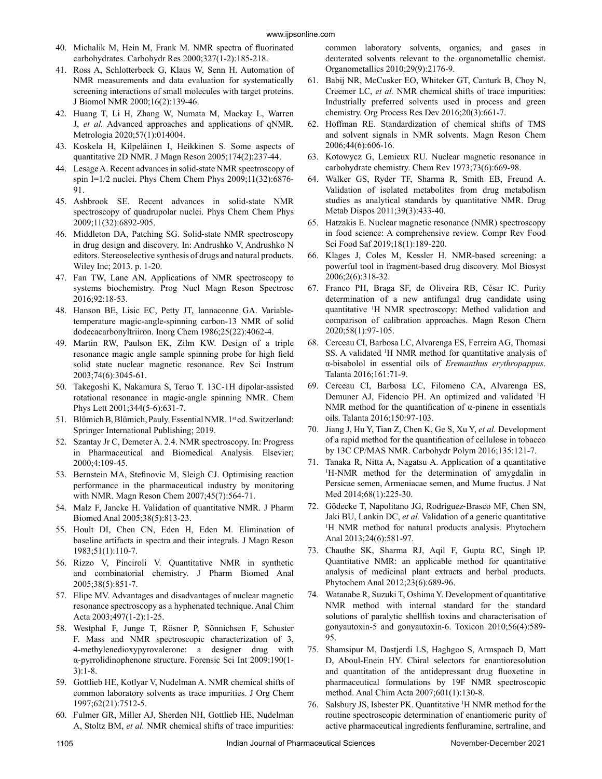- 40. Michalik M, Hein M, Frank M. NMR spectra of fluorinated carbohydrates. Carbohydr Res 2000;327(1-2):185-218.
- 41. Ross A, Schlotterbeck G, Klaus W, Senn H. Automation of NMR measurements and data evaluation for systematically screening interactions of small molecules with target proteins. J Biomol NMR 2000;16(2):139-46.
- 42. Huang T, Li H, Zhang W, Numata M, Mackay L, Warren J, *et al.* Advanced approaches and applications of qNMR. Metrologia 2020;57(1):014004.
- 43. Koskela H, Kilpeläinen I, Heikkinen S. Some aspects of quantitative 2D NMR. J Magn Reson 2005;174(2):237-44.
- 44. Lesage A. Recent advances in solid-state NMR spectroscopy of spin I=1/2 nuclei. Phys Chem Chem Phys 2009;11(32):6876- 91.
- 45. Ashbrook SE. Recent advances in solid-state NMR spectroscopy of quadrupolar nuclei. Phys Chem Chem Phys 2009;11(32):6892-905.
- 46. Middleton DA, Patching SG. Solid‐state NMR spectroscopy in drug design and discovery. In: Andrushko V, Andrushko N editors. Stereoselective synthesis of drugs and natural products. Wiley Inc; 2013. p. 1-20.
- 47. Fan TW, Lane AN. Applications of NMR spectroscopy to systems biochemistry. Prog Nucl Magn Reson Spectrosc 2016;92:18-53.
- 48. Hanson BE, Lisic EC, Petty JT, Iannaconne GA. Variabletemperature magic-angle-spinning carbon-13 NMR of solid dodecacarbonyltriiron. Inorg Chem 1986;25(22):4062-4.
- 49. Martin RW, Paulson EK, Zilm KW. Design of a triple resonance magic angle sample spinning probe for high field solid state nuclear magnetic resonance. Rev Sci Instrum 2003;74(6):3045-61.
- 50. Takegoshi K, Nakamura S, Terao T. 13C-1H dipolar-assisted rotational resonance in magic-angle spinning NMR. Chem Phys Lett 2001;344(5-6):631-7.
- 51. Blümich B, Blümich, Pauly. Essential NMR. 1<sup>st</sup> ed. Switzerland: Springer International Publishing; 2019.
- 52. Szantay Jr C, Demeter A. 2.4. NMR spectroscopy. In: Progress in Pharmaceutical and Biomedical Analysis. Elsevier; 2000;4:109-45.
- 53. Bernstein MA, Stefinovic M, Sleigh CJ. Optimising reaction performance in the pharmaceutical industry by monitoring with NMR. Magn Reson Chem 2007;45(7):564-71.
- 54. Malz F, Jancke H. Validation of quantitative NMR. J Pharm Biomed Anal 2005;38(5):813-23.
- 55. Hoult DI, Chen CN, Eden H, Eden M. Elimination of baseline artifacts in spectra and their integrals. J Magn Reson 1983;51(1):110-7.
- 56. Rizzo V, Pinciroli V. Quantitative NMR in synthetic and combinatorial chemistry. J Pharm Biomed Anal 2005;38(5):851-7.
- 57. Elipe MV. Advantages and disadvantages of nuclear magnetic resonance spectroscopy as a hyphenated technique. Anal Chim Acta 2003;497(1-2):1-25.
- 58. Westphal F, Junge T, Rösner P, Sönnichsen F, Schuster F. Mass and NMR spectroscopic characterization of 3, 4-methylenedioxypyrovalerone: a designer drug with α-pyrrolidinophenone structure. Forensic Sci Int 2009;190(1- 3):1-8.
- 59. Gottlieb HE, Kotlyar V, Nudelman A. NMR chemical shifts of common laboratory solvents as trace impurities. J Org Chem 1997;62(21):7512-5.
- 60. Fulmer GR, Miller AJ, Sherden NH, Gottlieb HE, Nudelman A, Stoltz BM, *et al.* NMR chemical shifts of trace impurities:

common laboratory solvents, organics, and gases in deuterated solvents relevant to the organometallic chemist. Organometallics 2010;29(9):2176-9.

- 61. Babij NR, McCusker EO, Whiteker GT, Canturk B, Choy N, Creemer LC, *et al.* NMR chemical shifts of trace impurities: Industrially preferred solvents used in process and green chemistry. Org Process Res Dev 2016;20(3):661-7.
- 62. Hoffman RE. Standardization of chemical shifts of TMS and solvent signals in NMR solvents. Magn Reson Chem 2006;44(6):606-16.
- 63. Kotowycz G, Lemieux RU. Nuclear magnetic resonance in carbohydrate chemistry. Chem Rev 1973;73(6):669-98.
- 64. Walker GS, Ryder TF, Sharma R, Smith EB, Freund A. Validation of isolated metabolites from drug metabolism studies as analytical standards by quantitative NMR. Drug Metab Dispos 2011;39(3):433-40.
- 65. Hatzakis E. Nuclear magnetic resonance (NMR) spectroscopy in food science: A comprehensive review. Compr Rev Food Sci Food Saf 2019;18(1):189-220.
- 66. Klages J, Coles M, Kessler H. NMR-based screening: a powerful tool in fragment-based drug discovery. Mol Biosyst 2006;2(6):318-32.
- 67. Franco PH, Braga SF, de Oliveira RB, César IC. Purity determination of a new antifungal drug candidate using quantitative 1 H NMR spectroscopy: Method validation and comparison of calibration approaches. Magn Reson Chem 2020;58(1):97-105.
- 68. Cerceau CI, Barbosa LC, Alvarenga ES, Ferreira AG, Thomasi SS. A validated <sup>1</sup>H NMR method for quantitative analysis of α-bisabolol in essential oils of *Eremanthus erythropappus*. Talanta 2016;161:71-9.
- 69. Cerceau CI, Barbosa LC, Filomeno CA, Alvarenga ES, Demuner AJ, Fidencio PH. An optimized and validated <sup>1</sup>H NMR method for the quantification of α-pinene in essentials oils. Talanta 2016;150:97-103.
- 70. Jiang J, Hu Y, Tian Z, Chen K, Ge S, Xu Y, *et al.* Development of a rapid method for the quantification of cellulose in tobacco by 13C CP/MAS NMR. Carbohydr Polym 2016;135:121-7.
- 71. Tanaka R, Nitta A, Nagatsu A. Application of a quantitative 1 H-NMR method for the determination of amygdalin in Persicae semen, Armeniacae semen, and Mume fructus. J Nat Med 2014;68(1):225-30.
- 72. Gödecke T, Napolitano JG, Rodríguez‐Brasco MF, Chen SN, Jaki BU, Lankin DC, *et al.* Validation of a generic quantitative <sup>1</sup>H NMR method for natural products analysis. Phytochem Anal 2013;24(6):581-97.
- 73. Chauthe SK, Sharma RJ, Aqil F, Gupta RC, Singh IP. Quantitative NMR: an applicable method for quantitative analysis of medicinal plant extracts and herbal products. Phytochem Anal 2012;23(6):689-96.
- 74. Watanabe R, Suzuki T, Oshima Y. Development of quantitative NMR method with internal standard for the standard solutions of paralytic shellfish toxins and characterisation of gonyautoxin-5 and gonyautoxin-6. Toxicon 2010;56(4):589- 95.
- 75. Shamsipur M, Dastjerdi LS, Haghgoo S, Armspach D, Matt D, Aboul-Enein HY. Chiral selectors for enantioresolution and quantitation of the antidepressant drug fluoxetine in pharmaceutical formulations by 19F NMR spectroscopic method. Anal Chim Acta 2007;601(1):130-8.
- 76. Salsbury JS, Isbester PK. Quantitative 1 H NMR method for the routine spectroscopic determination of enantiomeric purity of active pharmaceutical ingredients fenfluramine, sertraline, and